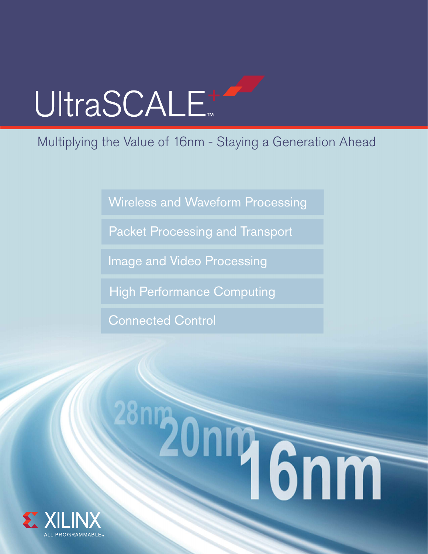# UltraSCALE<sup>+</sup>

# Multiplying the Value of 16nm - Staying a Generation Ahead

[Wireless and Waveform Processing](#page-1-0)

[Packet Processing and Transport](#page-3-0)

[Image and Video Processing](#page-5-0)

[High Performance Computing](#page-7-0)

[Connected Control](#page-9-0)

# 28mg During Grim

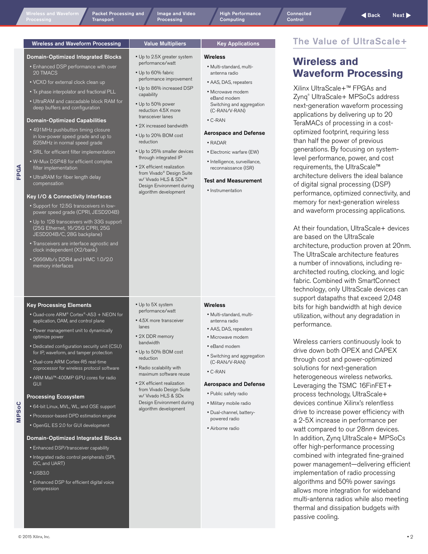<span id="page-1-0"></span>Wireless and Waveform Macket Processing and Mage and Video Methylic High Performance Connected Connected Aback<br>Processing Transport Processing Processing Computing Control Control Control [Image and Video](#page-5-0)  **Processing** 

[High Performance](#page-7-0)  Computing

### Wireless and Waveform Processing | Value Multipliers | Key Applications

### Domain-Optimized Integrated Blocks

- Enhanced DSP performance with over 20 TMACS
- VCXO for external clock clean up
- Tx phase interpolator and fractional PLL
- UltraRAM and cascadable block RAM for deep buffers and configuration

### Domain-Optimized Capabilities

- 491MHz pushbutton timing closure in low-power speed grade and up to 825MHz in normal speed grade
- SRL for efficient filter implementation
- W-Mux DSP48 for efficient complex filter implementation

**FPGA**

• UltraRAM for fiber length delay compensation

### Key I/O & Connectivity Interfaces

- Support for 12.5G transceivers in lowpower speed grade (CPRI, JESD204B)
- Up to 128 transceivers with 33G support (25G Ethernet, 16/25G CPRI, 25G JESD204B/C, 28G backplane)
- Transceivers are interface agnostic and clock independent (X2/bank)
- 2666Mb/s DDR4 and HMC 1.0/2.0 memory interfaces

### Key Processing Elements

- Quad-core ARM® Cortex®-A53 + NEON for application, OAM, and control plane
- Power management unit to dynamically optimize power
- Dedicated configuration security unit (CSU) for IP, waveform, and tamper protection
- Dual-core ARM Cortex-R5 real-time coprocessor for wireless protocol software
- ARM Mali™-400MP GPU cores for radio **GUI**

### Processing Ecosystem

- 64-bit Linux, MVL, WL, and OSE support
- Processor-based DPD estimation engine
- OpenGL ES 2.0 for GUI development
- 

### Domain-Optimized Integrated Blocks

- Enhanced DSP/transceiver capability • Integrated radio control peripherals (SPI, I2C, and UART)
- USB3.0

**MPSoC**

• Enhanced DSP for efficient digital voice compression

- Up to 2.5X greater system
- performance/watt
- Up to 60% fabric performance improvement
- Up to 86% increased DSP capability • Up to 50% power
- reduction 4.5X more transceiver lanes
- 2X increased bandwidth
- Up to 20% BOM cost reduction
- through integrated IP • 2X efficient realization from Vivado® Design Suite w/ Vivado HLS & SDx™ Design Environment during algorithm development

• Up to 5X system performance/watt • 4.5X more transceiver

• 2X DDR memory bandwidth • Up to 50% BOM cost reduction • Radio scalability with maximum software reuse • 2X efficient realization from Vivado Design Suite w/ Vivado HLS & SDx Design Environment during algorithm development

lanes

• Up to 25% smaller devices

### Wireless

- Multi-standard, multiantenna radio
- AAS, DAS, repeaters • Microwave modem eBand modem Switching and aggregation (C-RAN/V-RAN)
- C-RAN

### Aerospace and Defense

- RADAR
- Electronic warfare (EW)
- Intelligence, surveillance, reconnaissance (ISR)

### Test and Measurement

• Instrumentation

### **Wireless**

- Multi-standard, multiantenna radio
- AAS, DAS, repeaters
- Microwave modem
- eBand modem
- Switching and aggregation (C-RAN/V-RAN)
- C-RAN

### Aerospace and Defense

- Public safety radio
- Military mobile radio
- Dual-channel, batterypowered radio
- Airborne radio

### The Value of UltraScale+

### **Wireless and Waveform Processing**

Xilinx UltraScale+™ FPGAs and Zynq® UltraScale+ MPSoCs address next-generation waveform processing applications by delivering up to 20 TeraMACs of processing in a costoptimized footprint, requiring less than half the power of previous generations. By focusing on systemlevel performance, power, and cost requirements, the UltraScale™ architecture delivers the ideal balance of digital signal processing (DSP) performance, optimized connectivity, and memory for next-generation wireless and waveform processing applications.

At their foundation, UltraScale+ devices are based on the UltraScale architecture, production proven at 20nm. The UltraScale architecture features a number of innovations, including rearchitected routing, clocking, and logic fabric. Combined with SmartConnect technology, only UltraScale devices can support datapaths that exceed 2,048 bits for high bandwidth at high device utilization, without any degradation in performance.

Wireless carriers continuously look to drive down both OPEX and CAPEX through cost and power-optimized solutions for next-generation heterogeneous wireless networks. Leveraging the TSMC 16FinFET+ process technology, UltraScale+ devices continue Xilinx's relentless drive to increase power efficiency with a 2-5X increase in performance per watt compared to our 28nm devices. In addition, Zynq UltraScale+ MPSoCs offer high-performance processing combined with integrated fine-grained power management—delivering efficient implementation of radio processing algorithms and 50% power savings allows more integration for wideband multi-antenna radios while also meeting thermal and dissipation budgets with passive cooling.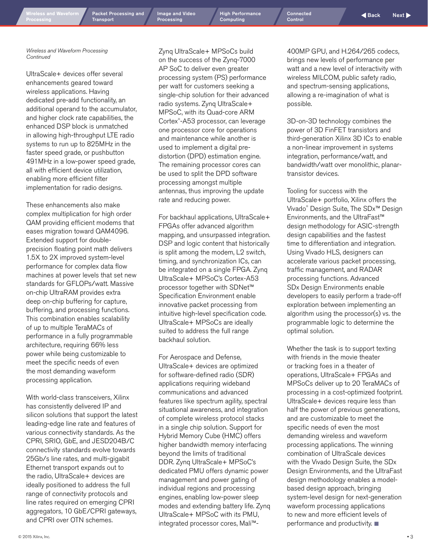**Transport** 

[Image and Video](#page-5-0)  **Processing** 

[High Performance](#page-7-0)  Computing

[Connected](#page-9-0) Control

[Packet Processing](#page-3-0) and Image and Video High Performance Connected Connected Absolute Back Next

*Wireless and Waveform Processing Continued*

UltraScale+ devices offer several enhancements geared toward wireless applications. Having dedicated pre-add functionality, an additional operand to the accumulator, and higher clock rate capabilities, the enhanced DSP block is unmatched in allowing high-throughput LTE radio systems to run up to 825MHz in the faster speed grade, or pushbutton 491MHz in a low-power speed grade, all with efficient device utilization, enabling more efficient filter implementation for radio designs.

These enhancements also make complex multiplication for high order QAM providing efficient modems that eases migration toward QAM4096. Extended support for doubleprecision floating point math delivers 1.5X to 2X improved system-level performance for complex data flow machines at power levels that set new standards for GFLOPs/watt. Massive on-chip UltraRAM provides extra deep on-chip buffering for capture, buffering, and processing functions. This combination enables scalability of up to multiple TeraMACs of performance in a fully programmable architecture, requiring 66% less power while being customizable to meet the specific needs of even the most demanding waveform processing application.

With world-class transceivers, Xilinx has consistently delivered IP and silicon solutions that support the latest leading-edge line rate and features of various connectivity standards. As the CPRI, SRIO, GbE, and JESD204B/C connectivity standards evolve towards 25Gb/s line rates, and multi-gigabit Ethernet transport expands out to the radio, UltraScale+ devices are ideally positioned to address the full range of connectivity protocols and line rates required on emerging CPRI aggregators, 10 GbE/CPRI gateways, and CPRI over OTN schemes.

Zynq UltraScale+ MPSoCs build on the success of the Zynq-7000 AP SoC to deliver even greater processing system (PS) performance per watt for customers seeking a single-chip solution for their advanced radio systems. Zynq UltraScale+ MPSoC, with its Quad-core ARM Cortex® -A53 processor, can leverage one processor core for operations and maintenance while another is used to implement a digital predistortion (DPD) estimation engine. The remaining processor cores can be used to split the DPD software processing amongst multiple antennas, thus improving the update rate and reducing power.

For backhaul applications, UltraScale+ FPGAs offer advanced algorithm mapping, and unsurpassed integration. DSP and logic content that historically is split among the modem, L2 switch, timing, and synchronization ICs, can be integrated on a single FPGA. Zynq UltraScale+ MPSoC's Cortex-A53 processor together with SDNet™ Specification Environment enable innovative packet processing from intuitive high-level specification code. UltraScale+ MPSoCs are ideally suited to address the full range backhaul solution.

For Aerospace and Defense, UltraScale+ devices are optimized for software-defined radio (SDR) applications requiring wideband communications and advanced features like spectrum agility, spectral situational awareness, and integration of complete wireless protocol stacks in a single chip solution. Support for Hybrid Memory Cube (HMC) offers higher bandwidth memory interfacing beyond the limits of traditional DDR. Zynq UltraScale+ MPSoC's dedicated PMU offers dynamic power management and power gating of individual regions and processing engines, enabling low-power sleep modes and extending battery life. Zynq UltraScale+ MPSoC with its PMU, integrated processor cores, Mali™-

400MP GPU, and H.264/265 codecs, brings new levels of performance per watt and a new level of interactivity with wireless MILCOM, public safety radio, and spectrum-sensing applications, allowing a re-imagination of what is possible.

3D-on-3D technology combines the power of 3D FinFET transistors and third-generation Xilinx 3D ICs to enable a non-linear improvement in systems integration, performance/watt, and bandwidth/watt over monolithic, planartransistor devices.

Tooling for success with the UltraScale+ portfolio, Xilinx offers the Vivado® Design Suite, The SDx™ Design Environments, and the UltraFast™ design methodology for ASIC-strength design capabilities and the fastest time to differentiation and integration. Using Vivado HLS, designers can accelerate various packet processing, traffic management, and RADAR processing functions. Advanced SDx Design Environments enable developers to easily perform a trade-off exploration between implementing an algorithm using the processor(s) vs. the programmable logic to determine the optimal solution.

Whether the task is to support texting with friends in the movie theater or tracking foes in a theater of operations, UltraScale+ FPGAs and MPSoCs deliver up to 20 TeraMACs of processing in a cost-optimized footprint. UltraScale+ devices require less than half the power of previous generations, and are customizable to meet the specific needs of even the most demanding wireless and waveform processing applications. The winning combination of UltraScale devices with the Vivado Design Suite, the SDx Design Environments, and the UltraFast design methodology enables a modelbased design approach, bringing system-level design for next-generation waveform processing applications to new and more efficient levels of performance and productivity.  $\blacksquare$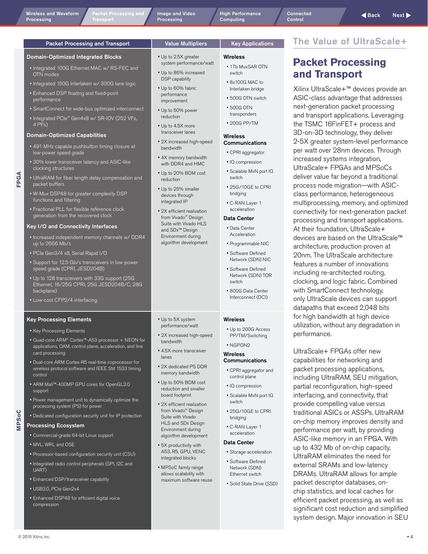<u>.</u><br>Cket Processing and **Transport** 

[Image and Video](#page-5-0)  **Processing** 

[High Performance](#page-7-0)  Computing

### <span id="page-3-0"></span>Packet Processing and Transport | Value Multipliers | Key Applications

### Domain-Optimized Integrated Blocks

- Integrated 100G Ethernet MAC w/ RS-FEC and OTN modes
- Integrated 150G Interlaken w/ 300G lane logic
- Enhanced DSP floating and fixed-point performance
- SmartConnect for wide-bus optimized interconnect
- Integrated PCIe® Gen4x8 w/ SR-IOV (252 VFs,  $4 PFS$

### Domain-Optimized Capabilities

- 491 MHz capable pushbutton timing closure at low-power speed grade
- 30% lower transceiver latency and ASIC-like clocking structures
- UltraRAM for fiber length delay compensation and packet buffers
- W-Mux DSP48 for greater complexity DSP functions and filtering
- Fractional PLL for flexible reference clock generation from the recovered clock

### Key I/O and Connectivity Interfaces

- Increased independent memory channels w/ DDR4 up to 2666 Mb/s
- PCIe Gen3/4 x8, Serial Rapid I/O
- Support for 12.5 Gb/s transceivers in low-power speed grade (CPRI, JESD204B)
- Up to 128 transceivers with 33G support (25G Ethernet, 16/25G CPRI, 25G JESD204B/C, 28G backplane)
- Low-cost CFP2/4 interfacing

### Key Processing Elements

- Key Processing Elements
- Quad-core ARM® Cortex™-A53 processor + NEON for applications, OAM, control plane, acceleration, and line card processing
- Dual-core ARM Cortex-R5 real-time coprocessor for wireless protocol software and IEEE Std 1533 timing control
- ARM Mali™-400MP GPU cores for OpenGL2.0 support
- Power management unit to dynamically optimize the processing system (PS) for power • Dedicated configuration security unit for IP protection
- **MPSoC**

**FPGA**

### Processing Ecosystem

- Commercial-grade 64-bit Linux support
- MVL, WRL and OSE
- Processor-based configuration security unit (CSU)
- Integrated radio control peripherals (SPI, I2C and UART)
- Enhanced DSP/transceiver capability
- USB3.0, PCIe Gen2x4
- Enhanced DSP48 for efficient digital voice compression
- Up to 2.5X greater
- system performance/watt
- Up to 86% increased DSP capability
- Up to 60% fabric performance improvement
- Up to 50% power reduction
- Up to 4.5X more transceiver lanes
- 2X increased high-speed bandwidth
- 4X memory bandwidth with DDR4 and HMC
- Up to 20% BOM cost reduction
- Up to 25% smaller devices through integrated IP
- 2X efficient realization from Vivado® Design Suite with Vivado HLS and SDx™ Design Environment during algorithm development

• Up to 5X system performance/watt • 2X increased high-speed

• 4.5X more transceiver

• 2X dedicated PS DDR memory bandwidth • Up to 50% BOM cost reduction and smaller board footprint • 2X efficient realization from Vivado<sup>®</sup> Design Suite with Vivado HLS and SDx Design Environment during algorithm development • 5X productivity with A53, R5, GPU, VENC integrated blocks • MPSoC family range allows scalability with maximum software reuse

bandwidth

lanes

- Wireless
- 1Tb MuxSAR OTN switch
- 8x100G MAC to Interlaken bridge
- 500G OTN switch
- 500G OTN transponders
- 200G PP/TM

### **Wirelacc** Communications

- CPRI aggregator
- IQ compression
- Scalable MxN port IQ switch
- 25G/10GE to CPRI bridging
- C-RAN Layer 1 acceleration

### Data Center

- Data Center Acceleration
- Programmable NIC • Software Defined
- Network (SDN) NIC • Software Defined
- Network (SDN) TOR switch
- 800G Data Center Interconnect (DCI)

### Wireless

• Up to 200G Access PP/TM/Switching

### • NGPON2

- Wireless **Communications**
- CPRI aggregator and control plane
- IQ compression
- Scalable MxN port IQ switch
- 25G/10GE to CPRI bridging
- C-RAN Layer 1 acceleration

### Data Center

- Storage acceleration
- Software Defined Network (SDN) Ethernet switch
- Solid State Drive (SSD)

## The Value of UltraScale+

### **Packet Processing and Transport**

Xilinx UltraScale+™ devices provide an ASIC-class advantage that addresses next-generation packet processing and transport applications. Leveraging the TSMC 16FinFET+ process and 3D-on-3D technology, they deliver 2-5X greater system-level performance per watt over 28nm devices. Through increased systems integration, UltraScale+ FPGAs and MPSoCs deliver value far beyond a traditional process node migration—with ASICclass performance, heterogeneous multiprocessing, memory, and optimized connectivity for next-generation packet processing and transport applications. At their foundation, UltraScale+ devices are based on the UltraScale™ architecture, production proven at 20nm. The UltraScale architecture features a number of innovations including re-architected routing, clocking, and logic fabric. Combined with SmartConnect technology, only UltraScale devices can support datapaths that exceed 2,048 bits for high bandwidth at high device utilization, without any degradation in performance.

UltraScale+ FPGAs offer new capabilities for networking and packet processing applications, including UltraRAM, SEU mitigation, partial reconfiguration, high-speed interfacing, and connectivity, that provide compelling value versus traditional ASICs or ASSPs. UltraRAM on-chip memory improves density and performance per watt, by providing ASIC-like memory in an FPGA. With up to 432 Mb of on-chip capacity, UltraRAM eliminates the need for external SRAMs and low-latency DRAMs. UltraRAM allows for ample packet descriptor databases, onchip statistics, and local caches for efficient packet processing, as well as significant cost reduction and simplified system design. Major innovation in SEU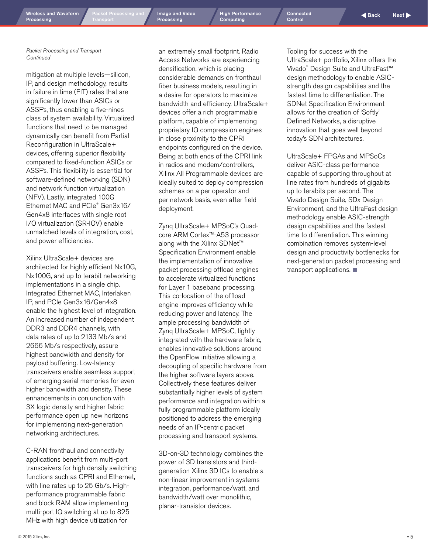[Packet Processing](#page-3-0) and

[Image and Video](#page-5-0)  **Processing** 

[High Performance](#page-7-0)  Computing

[Connected](#page-9-0) **Control** 

*Packet Processing and Transport Continued*

mitigation at multiple levels—silicon, IP, and design methodology, results in failure in time (FIT) rates that are significantly lower than ASICs or ASSPs, thus enabling a five-nines class of system availability. Virtualized functions that need to be managed dynamically can benefit from Partial Reconfiguration in UltraScale+ devices, offering superior flexibility compared to fixed-function ASICs or ASSPs. This flexibility is essential for software-defined networking (SDN) and network function virtualization (NFV). Lastly, integrated 100G Ethernet MAC and PCIe® Gen3x16/ Gen4x8 interfaces with single root I/O virtualization (SR-IOV) enable unmatched levels of integration, cost, and power efficiencies.

Xilinx UltraScale+ devices are architected for highly efficient Nx10G, Nx100G, and up to terabit networking implementations in a single chip. Integrated Ethernet MAC, Interlaken IP, and PCIe Gen3x16/Gen4x8 enable the highest level of integration. An increased number of independent DDR3 and DDR4 channels, with data rates of up to 2133 Mb/s and 2666 Mb/s respectively, assure highest bandwidth and density for payload buffering. Low-latency transceivers enable seamless support of emerging serial memories for even higher bandwidth and density. These enhancements in conjunction with 3X logic density and higher fabric performance open up new horizons for implementing next-generation networking architectures.

C-RAN fronthaul and connectivity applications benefit from multi-port transceivers for high density switching functions such as CPRI and Ethernet, with line rates up to 25 Gb/s. Highperformance programmable fabric and block RAM allow implementing multi-port IQ switching at up to 825 MHz with high device utilization for

an extremely small footprint. Radio Access Networks are experiencing densification, which is placing considerable demands on fronthaul fiber business models, resulting in a desire for operators to maximize bandwidth and efficiency. UltraScale+ devices offer a rich programmable platform, capable of implementing proprietary IQ compression engines in close proximity to the CPRI endpoints configured on the device. Being at both ends of the CPRI link in radios and modem/controllers, Xilinx All Programmable devices are ideally suited to deploy compression schemes on a per operator and per network basis, even after field deployment.

Zynq UltraScale+ MPSoC's Quadcore ARM Cortex™-A53 processor along with the Xilinx SDNet™ Specification Environment enable the implementation of innovative packet processing offload engines to accelerate virtualized functions for Layer 1 baseband processing. This co-location of the offload engine improves efficiency while reducing power and latency. The ample processing bandwidth of Zynq UltraScale+ MPSoC, tightly integrated with the hardware fabric, enables innovative solutions around the OpenFlow initiative allowing a decoupling of specific hardware from the higher software layers above. Collectively these features deliver substantially higher levels of system performance and integration within a fully programmable platform ideally positioned to address the emerging needs of an IP-centric packet processing and transport systems.

3D-on-3D technology combines the power of 3D transistors and thirdgeneration Xilinx 3D ICs to enable a non-linear improvement in systems integration, performance/watt, and bandwidth/watt over monolithic, planar-transistor devices.

Tooling for success with the UltraScale+ portfolio, Xilinx offers the Vivado® Design Suite and UltraFast™ design methodology to enable ASICstrength design capabilities and the fastest time to differentiation. The SDNet Specification Environment allows for the creation of 'Softly' Defined Networks, a disruptive innovation that goes well beyond today's SDN architectures.

UltraScale+ FPGAs and MPSoCs deliver ASIC-class performance capable of supporting throughput at line rates from hundreds of gigabits up to terabits per second. The Vivado Design Suite, SDx Design Environment, and the UltraFast design methodology enable ASIC-strength design capabilities and the fastest time to differentiation. This winning combination removes system-level design and productivity bottlenecks for next-generation packet processing and transport applications.  $\blacksquare$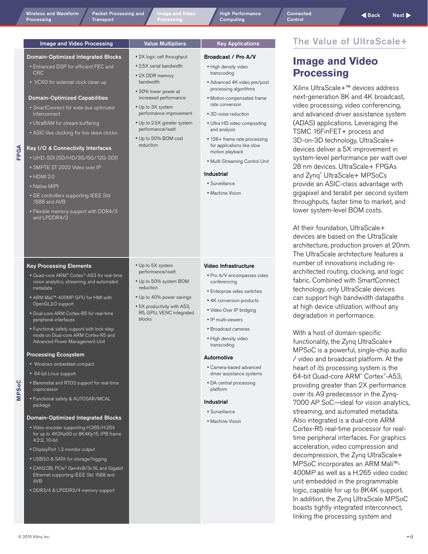**MPSoC**

<span id="page-5-0"></span>[Wireless and Waveform](#page-1-0)

Processing

• 2X logic cell throughput • 2.5X serial bandwidth • 2X DDR memory bandwidth • 30% lower power at increased performance • Up to 3X system performance improvement • Up to 2.5X greater system performance/watt • Up to 50% BOM cost reduction

[High Performance](#page-7-0)  Computing

Broadcast / Pro A/V • High density video transcoding

and analysis

Industrial • Surveillance • Machine Vision

• Advanced 4K video pre/post processing algorithms • Motion-compensated frame rate conversion • 3D noise reduction • Ultra HD video compositing

• 128+ frame rate processing for applications like slow motion playback

• Multi-Streaming Control Unit

### Image and Video Processing Value Multipliers Ney Applications

### Domain-Optimized Integrated Blocks

- Enhanced DSP for efficient FEC and **CRC**
- VCXO for external clock clean up

### Domain-Optimized Capabilities

- SmartConnect for wide bus optimized interconnect
- UltraRAM for stream buffering
- ASIC-like clocking for low skew clocks

### Key I/O & Connectivity Interfaces

- UHD-SDI (SD/HD/3G/6G/12G-SDI)
- SMPTE ST 2022 Video over IP
- HDMI 2.0

**FPGA**

- Native MIPI
- GE controllers supporting IEEE Std 1588 and AVB
- Flexible memory support with DDR4/3 and LPDDR4/3

### Key Processing Elements

- Quad-core ARM® Cortex®-A53 for real-time vision analytics, streaming, and automated metadata
- ARM Mali™-400MP GPU for HMI with OpenGL2.0 support
- Dual-core ARM Cortex-R5 for real-time peripheral interfaces
- Functional safety support with lock-step mode on Dual-core ARM Cortex-R5 and Advanced Power Management Unit

### Processing Ecosystem

- Windows embedded compact
- 64-bit Linux support
- Baremetal and RTOS support for real-time coprocessor
- Functional safety & AUTOSAR/MCAL package

### Domain-Optimized Integrated Blocks

- Video encoder supporting H.265/H.264 for up to 4K2Kp60 or 8K4Kp15, IPB frame 4:2:2, 10-bit
- DisplayPort 1.2 monitor output
- USB3.0 & SATA for storage/logging
- CAN2.0B, PCIe® Gen4x8/3x16, and Gigabit Ethernet supporting IEEE Std 1588 and AVB
- DDR3/4 & LPDDR3/4 memory support

### • Up to 5X system performance/watt • Up to 50% system BOM

- reduction
- Up to 40% power savings • 5X productivity with A53, R5, GPU, VENC integrated blocks
- IP multi-viewers • Broadcast cameras

Video Infrastructure • Pro A/V encompasses video

• Enterprise video switches • 4K conversion products • Video Over IP bridging

conferencing

• High density video transcoding

### Automotive

- Camera-based advanced driver assistance systems
- DA central processing platform

### Industrial

- Surveillance
- Machine Vision

### The Value of UltraScale+

### **Image and Video Processing**

Xilinx UltraScale+™ devices address next-generation 8K and 4K broadcast, video processing, video conferencing, and advanced driver assistance system (ADAS) applications. Leveraging the TSMC 16FinFET+ process and 3D-on-3D technology, UltraScale+ devices deliver a 5X improvement in system-level performance per watt over 28 nm devices. UltraScale+ FPGAs and Zynq® UltraScale+ MPSoCs provide an ASIC-class advantage with gigapixel and terabit per second system throughputs, faster time to market, and lower system-level BOM costs.

At their foundation, UltraScale+ devices are based on the UltraScale architecture, production proven at 20nm. The UltraScale architecture features a number of innovations including rearchitected routing, clocking, and logic fabric. Combined with SmartConnect technology, only UltraScale devices can support high bandwidth datapaths at high device utilization, without any degradation in performance.

With a host of domain-specific functionality, the Zynq UltraScale+ MPSoC is a powerful, single-chip audio / video and broadcast platform. At the heart of its processing system is the 64-bit Quad-core ARM® Cortex® -A53, providing greater than 2X performance over its A9 predecessor in the Zynq-7000 AP SoC—ideal for vision analytics, streaming, and automated metadata. Also integrated is a dual-core ARM Cortex-R5 real-time processor for realtime peripheral interfaces. For graphics acceleration, video compression and decompression, the Zynq UltraScale+ MPSoC incorporates an ARM Mali™- 400MP as well as a H.265 video codec unit embedded in the programmable logic, capable for up to 8K4K support. In addition, the Zynq UltraScale MPSoC boasts tightly integrated interconnect, linking the processing system and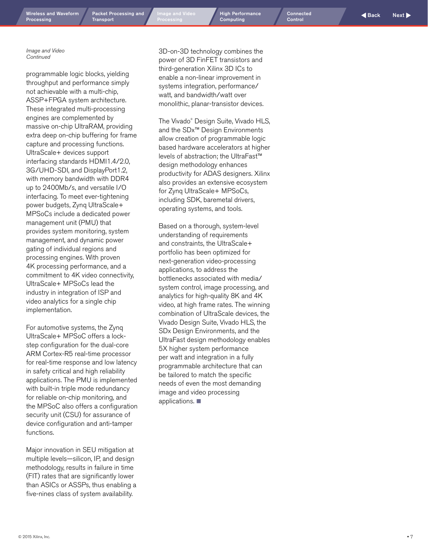© 2015 Xilinx, Inc.

[Wireless and Wavefor](#page-1-0)m

[Packet Processing](#page-3-0) and **Transport** 

Wireless and Waveform Packet Processing and Image and Video High Performance Connected Connected Aback Next Next<br>Processing Transport Processing Processing Computing Control Control

Connected **[Control](#page-9-0)** 

*Image and Video Continued*

programmable logic blocks, yielding throughput and performance simply not achievable with a multi-chip, ASSP+FPGA system architecture. These integrated multi-processing engines are complemented by massive on-chip UltraRAM, providing extra deep on-chip buffering for frame capture and processing functions. UltraScale+ devices support interfacing standards HDMI1.4/2.0, 3G/UHD-SDI, and DisplayPort1.2, with memory bandwidth with DDR4 up to 2400Mb/s, and versatile I/O interfacing. To meet ever-tightening power budgets, Zynq UltraScale+ MPSoCs include a dedicated power management unit (PMU) that provides system monitoring, system management, and dynamic power gating of individual regions and processing engines. With proven 4K processing performance, and a commitment to 4K video connectivity, UltraScale+ MPSoCs lead the industry in integration of ISP and video analytics for a single chip implementation.

For automotive systems, the Zynq UltraScale+ MPSoC offers a lockstep configuration for the dual-core ARM Cortex-R5 real-time processor for real-time response and low latency in safety critical and high reliability applications. The PMU is implemented with built-in triple mode redundancy for reliable on-chip monitoring, and the MPSoC also offers a configuration security unit (CSU) for assurance of device configuration and anti-tamper functions.

Major innovation in SEU mitigation at multiple levels—silicon, IP, and design methodology, results in failure in time (FIT) rates that are significantly lower than ASICs or ASSPs, thus enabling a five-nines class of system availability.

3D-on-3D technology combines the power of 3D FinFET transistors and third-generation Xilinx 3D ICs to enable a non-linear improvement in systems integration, performance/ watt, and bandwidth/watt over monolithic, planar-transistor devices.

The Vivado ® Design Suite, Vivado HLS, and the SDx™ Design Environments allow creation of programmable logic based hardware accelerators at higher levels of abstraction; the UltraFast™ design methodology enhances productivity for ADAS designers. Xilinx also provides an extensive ecosystem for Zynq UltraScale+ MPSoCs, including SDK, baremetal drivers, operating systems, and tools.

Based on a thorough, system-level understanding of requirements and constraints, the UltraScale+ portfolio has been optimized for next-generation video-processing applications, to address the bottlenecks associated with media/ system control, image processing, and analytics for high-quality 8K and 4K video, at high frame rates. The winning combination of UltraScale devices, the Vivado Design Suite, Vivado HLS, the SDx Design Environments, and the UltraFast design methodology enables 5X higher system performance per watt and integration in a fully programmable architecture that can be tailored to match the specific needs of even the most demanding image and video processing applications.  $\blacksquare$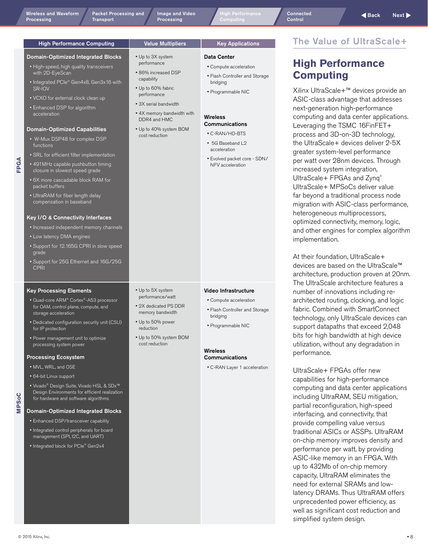**MPSoC**

[Packet Processing](#page-3-0) and **Transport** 

<span id="page-7-0"></span>Wireless and Waveform Packet Processing and Image and Video High Performance Connected Connected Aback Next Next<br>Processing Transport Processing Processing Computing Control Control [Image and Video](#page-5-0)  **Processing** 

> • Up to 3X system performance • 86% increased DSP capability • Up to 60% fabric performance • 3X serial bandwidth • 4X memory bandwidth with DDR4 and HMC • Up to 40% system BOM cost reduction

Data Center

bridging • Programmable NIC

**Wireless** Communications • C-RAN/HD-BTS • 5G Baseband L2 acceleration

• Compute acceleration • Flash Controller and Storage

• Evolved packet core - SDN/ NFV acceleration

### High Performance Computing Value Multipliers | Key Applications

### Domain-Optimized Integrated Blocks

- High-speed, high quality transceivers with 2D-EyeScan
- Integrated PCIe® Gen4x8, Gen3x16 with SR-IOV
- VCXO for external clock clean up
- Enhanced DSP for algorithm acceleration

### Domain-Optimized Capabilities

• W-Mux DSP48 for complex DSP functions

**FPGA**

- SRL for efficient filter implementation
- 491MHz capable pushbutton timing closure in slowest speed grade
- 6X more cascadable block RAM for packet buffers
- UltraRAM for fiber length delay compensation in baseband

### Key I/O & Connectivity Interfaces

- Increased independent memory channels
- Low latency DMA engines
- Support for 12.165G CPRI in slow speed grade
- Support for 25G Ethernet and 16G/25G **CPRI**

### Key Processing Elements

- Quad-core ARM® Cortex®-A53 processor for OAM, control plane, compute, and storage acceleration
- Dedicated configuration security unit (CSU) for IP protection
- Power management unit to optimize processing system power

### Processing Ecosystem

- MVL, WRL, and OSE
- 64-bit Linux support
- Vivado® Design Suite, Vivado HSL & SDx™ Design Environments for efficient realization for hardware and software algorithms

### Domain-Optimized Integrated Blocks

- Enhanced DSP/transceiver capability
- Integrated control peripherals for board management (SPI, I2C, and UART)
- Integrated block for PCIe® Gen2x4
- Up to 5X system performance/watt
- 2X dedicated PS DDR memory bandwidth
- Up to 50% power reduction
- Up to 50% system BOM cost reduction
- Video Infrastructure
- Compute acceleration
- Flash Controller and Storage bridging
- Programmable NIC

### Wireless **Communications**

• C-RAN Layer 1 acceleration

# The Value of UltraScale+

## **High Performance Computing**

Xilinx UltraScale+™ devices provide an ASIC-class advantage that addresses next-generation high-performance computing and data center applications. Leveraging the TSMC 16FinFET+ process and 3D-on-3D technology, the UltraScale+ devices deliver 2-5X greater system-level performance per watt over 28nm devices. Through increased system integration, UltraScale+ FPGAs and Zynq® UltraScale+ MPSoCs deliver value far beyond a traditional process node migration with ASIC-class performance, heterogeneous multiprocessors, optimized connectivity, memory, logic, and other engines for complex algorithm implementation.

At their foundation, UltraScale+ devices are based on the UltraScale™ architecture, production proven at 20nm. The UltraScale architecture features a number of innovations including rearchitected routing, clocking, and logic fabric. Combined with SmartConnect technology, only UltraScale devices can support datapaths that exceed 2,048 bits for high bandwidth at high device utilization, without any degradation in performance.

UltraScale+ FPGAs offer new capabilities for high-performance computing and data center applications including UltraRAM, SEU mitigation, partial reconfiguration, high-speed interfacing, and connectivity, that provide compelling value versus traditional ASICs or ASSPs. UltraRAM on-chip memory improves density and performance per watt, by providing ASIC-like memory in an FPGA. With up to 432Mb of on-chip memory capacity, UltraRAM eliminates the need for external SRAMs and lowlatency DRAMs. Thus UltraRAM offers unprecedented power efficiency, as well as significant cost reduction and simplified system design.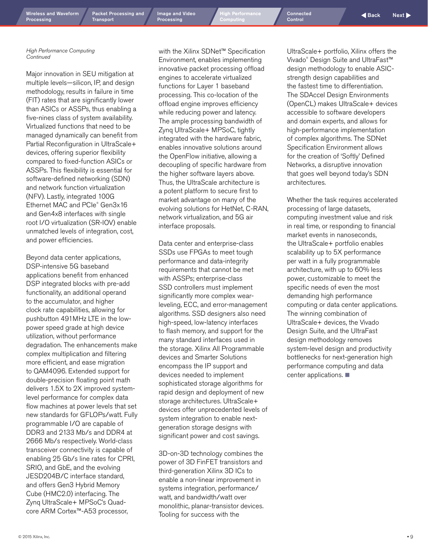Wireless and Waveform Packet Processing and Image and Video High Performance Connected Connected Aback Next Next<br>Processing Transport Processing Processing Computing Control Control [Image and Video](#page-5-0)  **Processing** 

[High Performance](#page-7-0)  Computing

[Connected](#page-9-0)  Control

*High Performance Computing Continued*

Major innovation in SEU mitigation at multiple levels—silicon, IP, and design methodology, results in failure in time (FIT) rates that are significantly lower than ASICs or ASSPs, thus enabling a five-nines class of system availability. Virtualized functions that need to be managed dynamically can benefit from Partial Reconfiguration in UltraScale+ devices, offering superior flexibility compared to fixed-function ASICs or ASSPs. This flexibility is essential for software-defined networking (SDN) and network function virtualization (NFV). Lastly, integrated 100G Ethernet MAC and PCIe® Gen3x16 and Gen4x8 interfaces with single root I/O virtualization (SR-IOV) enable unmatched levels of integration, cost, and power efficiencies.

Beyond data center applications, DSP-intensive 5G baseband applications benefit from enhanced DSP integrated blocks with pre-add functionality, an additional operand to the accumulator, and higher clock rate capabilities, allowing for pushbutton 491MHz LTE in the lowpower speed grade at high device utilization, without performance degradation. The enhancements make complex multiplication and filtering more efficient, and ease migration to QAM4096. Extended support for double-precision floating point math delivers 1.5X to 2X improved systemlevel performance for complex data flow machines at power levels that set new standards for GFLOPs/watt. Fully programmable I/O are capable of DDR3 and 2133 Mb/s and DDR4 at 2666 Mb/s respectively. World-class transceiver connectivity is capable of enabling 25 Gb/s line rates for CPRI, SRIO, and GbE, and the evolving JESD204B/C interface standard, and offers Gen3 Hybrid Memory Cube (HMC2.0) interfacing. The Zynq UltraScale+ MPSoC's Quadcore ARM Cortex™-A53 processor,

with the Xilinx SDNet™ Specification Environment, enables implementing innovative packet processing offload engines to accelerate virtualized functions for Layer 1 baseband processing. This co-location of the offload engine improves efficiency while reducing power and latency. The ample processing bandwidth of Zynq UltraScale+ MPSoC, tightly integrated with the hardware fabric, enables innovative solutions around the OpenFlow initiative, allowing a decoupling of specific hardware from the higher software layers above. Thus, the UltraScale architecture is a potent platform to secure first to market advantage on many of the evolving solutions for HetNet, C-RAN, network virtualization, and 5G air interface proposals.

Data center and enterprise-class SSDs use FPGAs to meet tough performance and data-integrity requirements that cannot be met with ASSPs; enterprise-class SSD controllers must implement significantly more complex wearleveling, ECC, and error-management algorithms. SSD designers also need high-speed, low-latency interfaces to flash memory, and support for the many standard interfaces used in the storage. Xilinx All Programmable devices and Smarter Solutions encompass the IP support and devices needed to implement sophisticated storage algorithms for rapid design and deployment of new storage architectures. UltraScale+ devices offer unprecedented levels of system integration to enable nextgeneration storage designs with significant power and cost savings.

3D-on-3D technology combines the power of 3D FinFET transistors and third-generation Xilinx 3D ICs to enable a non-linear improvement in systems integration, performance/ watt, and bandwidth/watt over monolithic, planar-transistor devices. Tooling for success with the

UltraScale+ portfolio, Xilinx offers the Vivado® Design Suite and UltraFast™ design methodology to enable ASICstrength design capabilities and the fastest time to differentiation. The SDAccel Design Environments (OpenCL) makes UltraScale+ devices accessible to software developers and domain experts, and allows for high-performance implementation of complex algorithms. The SDNet Specification Environment allows for the creation of 'Softly' Defined Networks, a disruptive innovation that goes well beyond today's SDN architectures.

Whether the task requires accelerated processing of large datasets, computing investment value and risk in real time, or responding to financial market events in nanoseconds, the UltraScale+ portfolio enables scalability up to 5X performance per watt in a fully programmable architecture, with up to 60% less power, customizable to meet the specific needs of even the most demanding high performance computing or data center applications. The winning combination of UltraScale+ devices, the Vivado Design Suite, and the UltraFast design methodology removes system-level design and productivity bottlenecks for next-generation high performance computing and data center applications.  $\blacksquare$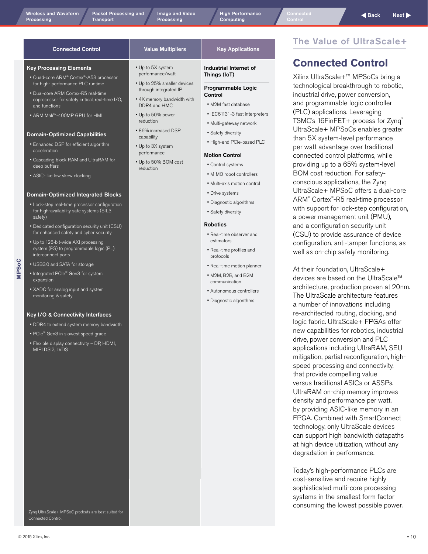Wireless and Waveform Packet Processing and Image and Video High Performance Connected Next **Back Next** Processing<br>Processing Transport Processing Processing Computing Control Control [Image and Video](#page-5-0)  **Processing** 

[High Performance](#page-7-0)  Computing

estimators • Real-time profiles and protocols

• Real-time motion planner • M2M, B2B, and B2M communication • Autonomous controllers • Diagnostic algorithms

### The Value of UltraScale+

### **Connected Control**

Xilinx UltraScale+™ MPSoCs bring a technological breakthrough to robotic, industrial drive, power conversion, and programmable logic controller (PLC) applications. Leveraging TSMC's 16FinFET+ process for Zynq® UltraScale+ MPSoCs enables greater than 5X system-level performance per watt advantage over traditional connected control platforms, while providing up to a 65% system-level BOM cost reduction. For safetyconscious applications, the Zynq UltraScale+ MPSoC offers a dual-core ARM® Cortex® -R5 real-time processor with support for lock-step configuration, a power management unit (PMU), and a configuration security unit (CSU) to provide assurance of device configuration, anti-tamper functions, as well as on-chip safety monitoring.

At their foundation, UltraScale+ devices are based on the UltraScale™ architecture, production proven at 20nm. The UltraScale architecture features a number of innovations including re-architected routing, clocking, and logic fabric. UltraScale+ FPGAs offer new capabilities for robotics, industrial drive, power conversion and PLC applications including UltraRAM, SEU mitigation, partial reconfiguration, highspeed processing and connectivity, that provide compelling value versus traditional ASICs or ASSPs. UltraRAM on-chip memory improves density and performance per watt, by providing ASIC-like memory in an FPGA. Combined with SmartConnect technology, only UltraScale devices can support high bandwidth datapaths at high device utilization, without any degradation in performance.

Today's high-performance PLCs are cost-sensitive and require highly sophisticated multi-core processing systems in the smallest form factor consuming the lowest possible power.

### <span id="page-9-0"></span>Connected Control **Connected Control Connected Control** Value Multipliers **Registed** Key Applications Key Processing Elements • Quad-core ARM® Cortex®-A53 processor for high- performance PLC runtime • Dual-core ARM Cortex-R5 real-time coprocessor for safety critical, real-time I/O, and functions • ARM Mali™-400MP GPU for HMI Domain-Optimized Capabilities • Enhanced DSP for efficient algorithm acceleration • Cascading block RAM and UltraRAM for deep buffers • ASIC-like low skew clocking Domain-Optimized Integrated Blocks • Lock-step real-time processor configuration for high-availability safe systems (SIL3 safety) • Dedicated configuration security unit (CSU) • Up to 5X system performance/watt • Up to 25% smaller devices through integrated IP • 4X memory bandwidth with DDR4 and HMC • Up to 50% power reduction • 86% increased DSP capability • Up to 3X system performance • Up to 50% BOM cost reduction Industrial Internet of Things (IoT) Programmable Logic **Control** • M2M fast database • IEC61131-3 fast interpreters • Multi-gateway network • Safety diversity • High-end PCIe-based PLC Motion Control • Control systems • MIMO robot controllers • Multi-axis motion control • Drive systems • Diagnostic algorithms • Safety diversity Robotics • Real-time observer and

- Up to 128-bit-wide AXI processing system (PS) to programmable logic (PL)
- USB3.0 and SATA for storage
- Integrated PCIe® Gen3 for system expansion
- XADC for analog input and system monitoring & safety

### Key I/O & Connectivity Interfaces

- DDR4 to extend system memory bandwidth
- PCIe® Gen3 in slowest speed grade
- Flexible display connectivity DP, HDMI, MIPI DSI2, LVDS
- for enhanced safety and cyber security
- interconnect ports

Zynq UltraScale+ MPSoC prodcuts are best suited for

Connected Control.